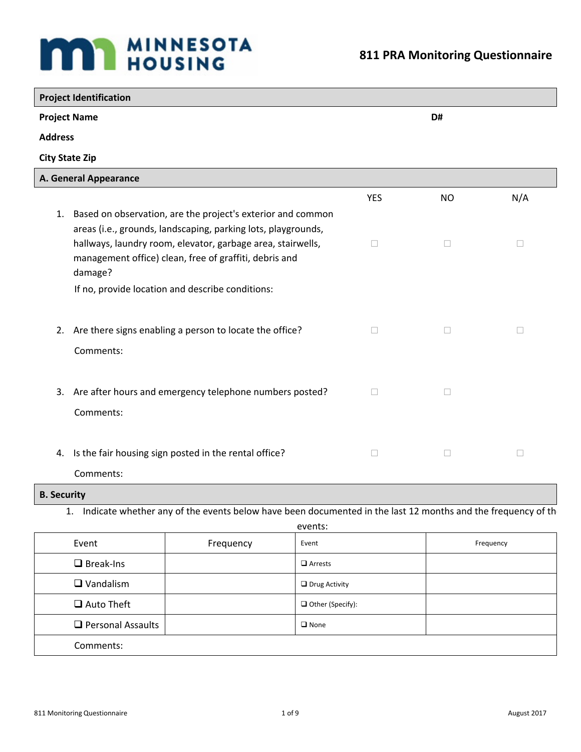# **MAN MINNESOTA**

|                       | <b>Project Identification</b>                                                                                                                                                                                                                                       |                          |              |        |
|-----------------------|---------------------------------------------------------------------------------------------------------------------------------------------------------------------------------------------------------------------------------------------------------------------|--------------------------|--------------|--------|
| <b>Project Name</b>   |                                                                                                                                                                                                                                                                     |                          | D#           |        |
| <b>Address</b>        |                                                                                                                                                                                                                                                                     |                          |              |        |
| <b>City State Zip</b> |                                                                                                                                                                                                                                                                     |                          |              |        |
|                       | A. General Appearance                                                                                                                                                                                                                                               |                          |              |        |
|                       |                                                                                                                                                                                                                                                                     | <b>YES</b>               | <b>NO</b>    | N/A    |
|                       | 1. Based on observation, are the project's exterior and common<br>areas (i.e., grounds, landscaping, parking lots, playgrounds,<br>hallways, laundry room, elevator, garbage area, stairwells,<br>management office) clean, free of graffiti, debris and<br>damage? | □                        | П            | П      |
|                       | If no, provide location and describe conditions:                                                                                                                                                                                                                    |                          |              |        |
|                       | 2. Are there signs enabling a person to locate the office?<br>Comments:                                                                                                                                                                                             | П                        | $\Box$       | П      |
| 3.                    | Are after hours and emergency telephone numbers posted?<br>Comments:                                                                                                                                                                                                | $\overline{\phantom{a}}$ | $\mathbf{L}$ |        |
|                       | 4. Is the fair housing sign posted in the rental office?<br>Comments:                                                                                                                                                                                               | $\Box$                   | $\Box$       | $\Box$ |
| <b>B.</b> Security    |                                                                                                                                                                                                                                                                     |                          |              |        |

1. Indicate whether any of the events below have been documented in the last 12 months and the frequency of th

|                          | events:   |                         |           |  |  |  |  |
|--------------------------|-----------|-------------------------|-----------|--|--|--|--|
| Event                    | Frequency | Event                   | Frequency |  |  |  |  |
| $\Box$ Break-Ins         |           | $\Box$ Arrests          |           |  |  |  |  |
| $\Box$ Vandalism         |           | <b>Q</b> Drug Activity  |           |  |  |  |  |
| $\Box$ Auto Theft        |           | $\Box$ Other (Specify): |           |  |  |  |  |
| $\Box$ Personal Assaults |           | $\square$ None          |           |  |  |  |  |
| Comments:                |           |                         |           |  |  |  |  |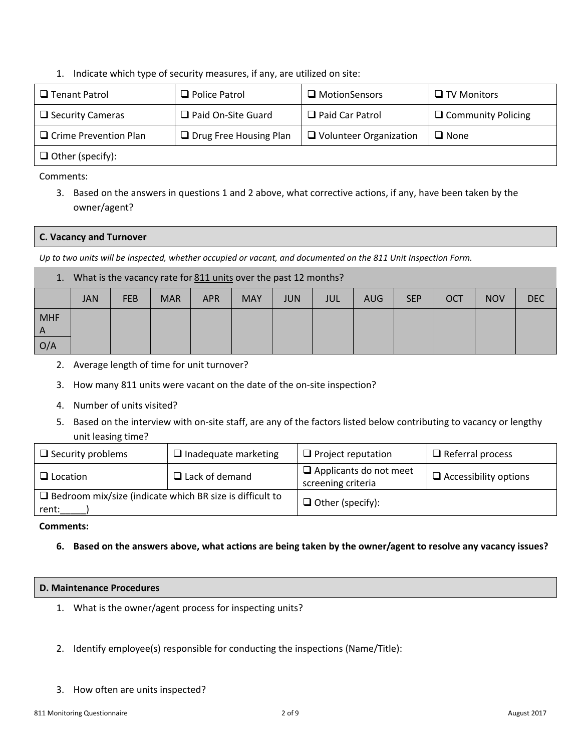1. Indicate which type of security measures, if any, are utilized on site:

| $\Box$ Tenant Patrol         | $\Box$ Police Patrol          | $\Box$ MotionSensors          | $\Box$ TV Monitors        |
|------------------------------|-------------------------------|-------------------------------|---------------------------|
| $\Box$ Security Cameras      | $\Box$ Paid On-Site Guard     | $\Box$ Paid Car Patrol        | $\Box$ Community Policing |
| $\Box$ Crime Prevention Plan | $\Box$ Drug Free Housing Plan | $\Box$ Volunteer Organization | $\Box$ None               |
| $\Box$ Other (specify):      |                               |                               |                           |

Comments:

3. Based on the answers in questions 1 and 2 above, what corrective actions, if any, have been taken by the owner/agent?

## **C. Vacancy and Turnover**

*Up to two units will be inspected, whether occupied or vacant, and documented on the 811 Unit Inspection Form.*

#### 1. What is the vacancy rate for 811 units over the past 12 months? 1.

|                       | <b>JAN</b> | <b>FEB</b> | <b>MAR</b> | <b>APR</b> | <b>MAY</b> | <b>JUN</b> | <b>JUL</b> | <b>AUG</b> | <b>SEP</b> | <b>OCT</b> | <b>NOV</b> | <b>DEC</b> |
|-----------------------|------------|------------|------------|------------|------------|------------|------------|------------|------------|------------|------------|------------|
| <b>MHF</b>            |            |            |            |            |            |            |            |            |            |            |            |            |
| $\overline{A}$<br>O/A |            |            |            |            |            |            |            |            |            |            |            |            |

- 2. Average length of time for unit turnover?
- 3. How many 811 units were vacant on the date of the on-site inspection?
- 4. Number of units visited?
- 5. Based on the interview with on-site staff, are any of the factors listed below contributing to vacancy or lengthy unit leasing time?

| $\Box$ Security problems<br>$\Box$ Inadequate marketing                  |                       | $\Box$ Project reputation                           | $\Box$ Referral process      |  |
|--------------------------------------------------------------------------|-----------------------|-----------------------------------------------------|------------------------------|--|
| $\Box$ Location                                                          | $\Box$ Lack of demand | $\Box$ Applicants do not meet<br>screening criteria | $\Box$ Accessibility options |  |
| $\Box$ Bedroom mix/size (indicate which BR size is difficult to<br>rent: |                       | $\Box$ Other (specify):                             |                              |  |

#### **Comments:**

## **6. Based on the answers above, what actions are being taken by the owner/agent to resolve any vacancy issues? 6.**

#### **D. Maintenance Procedures**

- 1. What is the owner/agent process for inspecting units?
- 2. Identify employee(s) responsible for conducting the inspections (Name/Title):
- 3. How often are units inspected?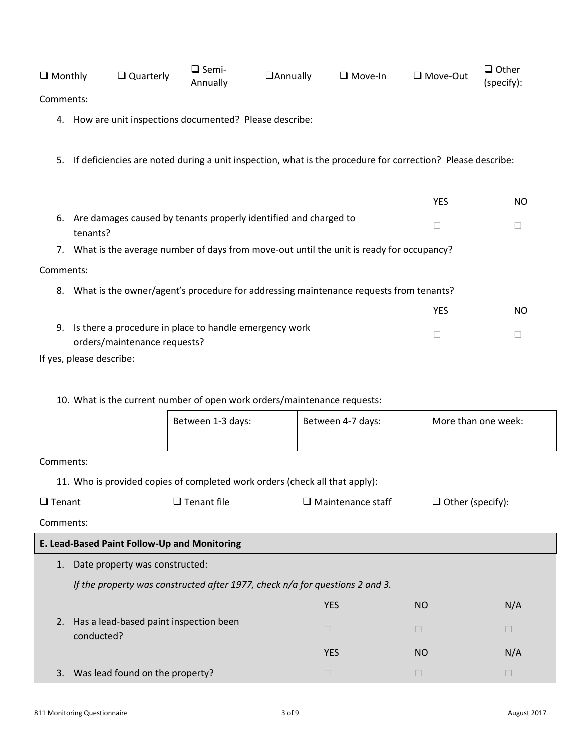| $\Box$ Quarterly<br>$\Box$ Monthly | <b>□</b> Semi-<br>Annually | <b>DAnnually</b> | $\Box$ Move-In | Move-Out | $\Box$ Other<br>(specify): |
|------------------------------------|----------------------------|------------------|----------------|----------|----------------------------|
|------------------------------------|----------------------------|------------------|----------------|----------|----------------------------|

Comments:

- 4. How are unit inspections documented? Please describe:
- 5. If deficiencies are noted during a unit inspection, what is the procedure for correction? Please describe: 5.

|                                                                                       | YES | NO.                                                                                     |  |  |  |
|---------------------------------------------------------------------------------------|-----|-----------------------------------------------------------------------------------------|--|--|--|
| Are damages caused by tenants properly identified and charged to<br>tenants?          |     |                                                                                         |  |  |  |
|                                                                                       |     |                                                                                         |  |  |  |
| Comments:                                                                             |     |                                                                                         |  |  |  |
|                                                                                       |     |                                                                                         |  |  |  |
| What is the owner/agent's procedure for addressing maintenance requests from tenants? |     |                                                                                         |  |  |  |
|                                                                                       | YES | NO.                                                                                     |  |  |  |
|                                                                                       |     | What is the average number of days from move-out until the unit is ready for occupancy? |  |  |  |

If yes, please describe:

10. What is the current number of open work orders/maintenance requests:

| Between 1-3 days: | Between 4-7 days: | More than one week: |
|-------------------|-------------------|---------------------|
|                   |                   |                     |

Comments:

11. Who is provided copies of completed work orders (check all that apply): 11.

| $\Box$ Tenant | $\square$ Tenant file | $\Box$ Maintenance staff | $\Box$ Other (specify): |
|---------------|-----------------------|--------------------------|-------------------------|
|---------------|-----------------------|--------------------------|-------------------------|

Comments:

| E. Lead-Based Paint Follow-Up and Monitoring |                                                                              |                                                         |            |           |     |
|----------------------------------------------|------------------------------------------------------------------------------|---------------------------------------------------------|------------|-----------|-----|
|                                              | Date property was constructed:                                               |                                                         |            |           |     |
|                                              | If the property was constructed after 1977, check n/a for questions 2 and 3. |                                                         |            |           |     |
|                                              |                                                                              |                                                         | <b>YES</b> | NO.       | N/A |
|                                              |                                                                              | 2. Has a lead-based paint inspection been<br>conducted? |            |           |     |
|                                              |                                                                              |                                                         | <b>YES</b> | <b>NO</b> | N/A |
|                                              |                                                                              | 3. Was lead found on the property?                      |            |           |     |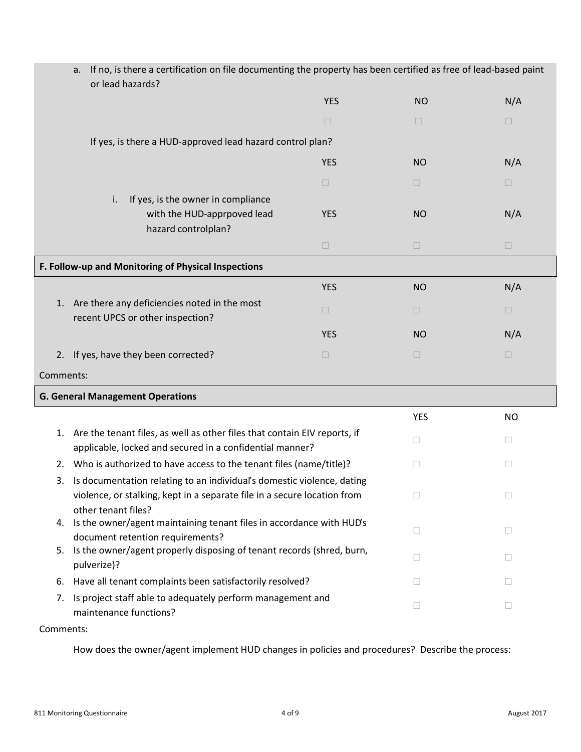|           | If no, is there a certification on file documenting the property has been certified as free of lead-based paint<br>a.<br>or lead hazards?          |            |            |           |  |
|-----------|----------------------------------------------------------------------------------------------------------------------------------------------------|------------|------------|-----------|--|
|           |                                                                                                                                                    | <b>YES</b> | <b>NO</b>  | N/A       |  |
|           |                                                                                                                                                    | $\Box$     | $\Box$     | $\Box$    |  |
|           | If yes, is there a HUD-approved lead hazard control plan?                                                                                          |            |            |           |  |
|           |                                                                                                                                                    | <b>YES</b> | <b>NO</b>  | N/A       |  |
|           |                                                                                                                                                    | $\Box$     | $\Box$     | $\Box$    |  |
|           | If yes, is the owner in compliance<br>i.                                                                                                           |            |            |           |  |
|           | with the HUD-apprpoved lead<br>hazard controlplan?                                                                                                 | <b>YES</b> | <b>NO</b>  | N/A       |  |
|           |                                                                                                                                                    | $\Box$     | $\Box$     | $\Box$    |  |
|           | F. Follow-up and Monitoring of Physical Inspections                                                                                                |            |            |           |  |
|           |                                                                                                                                                    | <b>YES</b> | <b>NO</b>  | N/A       |  |
|           | 1. Are there any deficiencies noted in the most<br>recent UPCS or other inspection?                                                                | $\Box$     | $\Box$     | $\Box$    |  |
|           |                                                                                                                                                    | <b>YES</b> | <b>NO</b>  | N/A       |  |
|           | 2. If yes, have they been corrected?                                                                                                               | $\Box$     | $\Box$     | $\Box$    |  |
| Comments: |                                                                                                                                                    |            |            |           |  |
|           | <b>G. General Management Operations</b>                                                                                                            |            |            |           |  |
|           |                                                                                                                                                    |            | <b>YES</b> | <b>NO</b> |  |
|           | 1. Are the tenant files, as well as other files that contain EIV reports, if<br>applicable, locked and secured in a confidential manner?           |            | $\Box$     | $\Box$    |  |
| 2.        | Who is authorized to have access to the tenant files (name/title)?                                                                                 |            | □          | $\Box$    |  |
| 3.        | Is documentation relating to an individual's domestic violence, dating<br>violence, or stalking, kept in a separate file in a secure location from |            | □          | □         |  |
|           | other tenant files?<br>4. Is the owner/agent maintaining tenant files in accordance with HUD's<br>document retention requirements?                 |            | □          | $\Box$    |  |
|           | 5. Is the owner/agent properly disposing of tenant records (shred, burn,<br>pulverize)?                                                            |            |            | $\Box$    |  |
|           | 6. Have all tenant complaints been satisfactorily resolved?                                                                                        |            | ш          | П         |  |
| 7.        | Is project staff able to adequately perform management and<br>maintenance functions?                                                               |            | □          | $\Box$    |  |

Comments:

How does the owner/agent implement HUD changes in policies and procedures? Describe the process: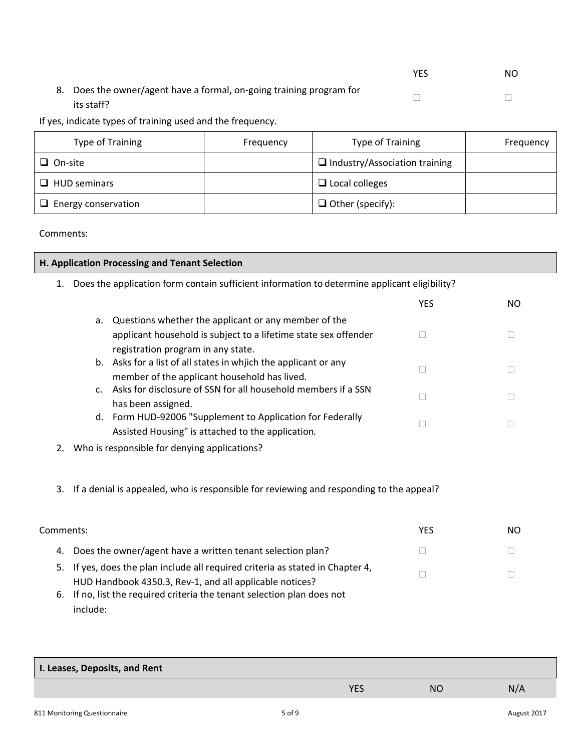|                                                                                    | <b>YFS</b> | NO |
|------------------------------------------------------------------------------------|------------|----|
| 8. Does the owner/agent have a formal, on-going training program for<br>its staff? |            |    |

If yes, indicate types of training used and the frequency.

| Type of Training           | Frequency | Type of Training                     | Frequency |
|----------------------------|-----------|--------------------------------------|-----------|
| $\Box$ On-site             |           | $\Box$ Industry/Association training |           |
| $\Box$ HUD seminars        |           | $\Box$ Local colleges                |           |
| $\Box$ Energy conservation |           | $\Box$ Other (specify):              |           |

Comments:

# **H. Application Processing and Tenant Selection**

1. Does the application form contain sufficient information to determine applicant eligibility? 1.

|    |                                                                                                                 | YES | NΟ |
|----|-----------------------------------------------------------------------------------------------------------------|-----|----|
| а. | Questions whether the applicant or any member of the                                                            |     |    |
|    | applicant household is subject to a lifetime state sex offender                                                 |     |    |
|    | registration program in any state.                                                                              |     |    |
|    | b. Asks for a list of all states in whijch the applicant or any                                                 |     |    |
|    | member of the applicant household has lived.                                                                    |     |    |
| C. | Asks for disclosure of SSN for all household members if a SSN                                                   |     |    |
|    | has been assigned.                                                                                              |     |    |
| d. | Form HUD-92006 "Supplement to Application for Federally                                                         |     |    |
|    | Assisted Housing" is attached to the application.                                                               |     |    |
|    | records and the contract of the contract of the contract of the contract of the contract of the contract of the |     |    |

- 2. Who is responsible for denying applications?
- 3. If a denial is appealed, who is responsible for reviewing and responding to the appeal?

| Comments: |                                                                             | YFS | NO. |
|-----------|-----------------------------------------------------------------------------|-----|-----|
| 4.        | Does the owner/agent have a written tenant selection plan?                  |     |     |
| 5.        | If yes, does the plan include all required criteria as stated in Chapter 4, |     |     |
|           | HUD Handbook 4350.3, Rev-1, and all applicable notices?                     |     |     |
|           | 6. If no, list the required criteria the tenant selection plan does not     |     |     |
|           | include:                                                                    |     |     |

| I. Leases, Deposits, and Rent |            |           |     |
|-------------------------------|------------|-----------|-----|
|                               | <b>YES</b> | <b>NO</b> | N/A |
|                               |            |           |     |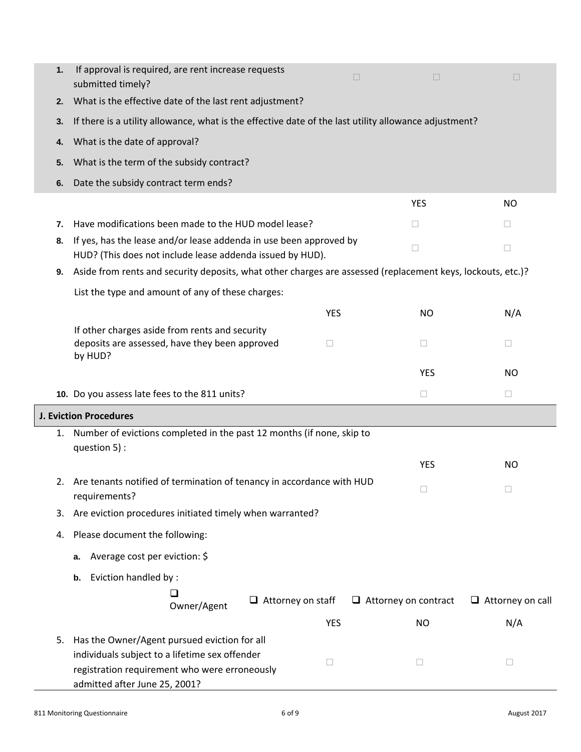| 1. | If approval is required, are rent increase requests<br>submitted timely?                                                        |                          | $\Box$ | $\Box$                      | $\Box$                   |
|----|---------------------------------------------------------------------------------------------------------------------------------|--------------------------|--------|-----------------------------|--------------------------|
| 2. | What is the effective date of the last rent adjustment?                                                                         |                          |        |                             |                          |
| 3. | If there is a utility allowance, what is the effective date of the last utility allowance adjustment?                           |                          |        |                             |                          |
| 4. | What is the date of approval?                                                                                                   |                          |        |                             |                          |
| 5. | What is the term of the subsidy contract?                                                                                       |                          |        |                             |                          |
| 6. | Date the subsidy contract term ends?                                                                                            |                          |        |                             |                          |
|    |                                                                                                                                 |                          |        | <b>YES</b>                  | <b>NO</b>                |
| 7. | Have modifications been made to the HUD model lease?                                                                            |                          |        | $\Box$                      | $\Box$                   |
| 8. | If yes, has the lease and/or lease addenda in use been approved by<br>HUD? (This does not include lease addenda issued by HUD). |                          |        | $\Box$                      | $\Box$                   |
| 9. | Aside from rents and security deposits, what other charges are assessed (replacement keys, lockouts, etc.)?                     |                          |        |                             |                          |
|    | List the type and amount of any of these charges:                                                                               |                          |        |                             |                          |
|    |                                                                                                                                 | <b>YES</b>               |        | <b>NO</b>                   | N/A                      |
|    | If other charges aside from rents and security<br>deposits are assessed, have they been approved<br>by HUD?                     | $\Box$                   |        | $\Box$                      | П                        |
|    |                                                                                                                                 |                          |        | <b>YES</b>                  | <b>NO</b>                |
|    | 10. Do you assess late fees to the 811 units?                                                                                   |                          |        | $\Box$                      | $\Box$                   |
|    | <b>J. Eviction Procedures</b>                                                                                                   |                          |        |                             |                          |
| 1. | Number of evictions completed in the past 12 months (if none, skip to<br>question 5) :                                          |                          |        |                             |                          |
|    |                                                                                                                                 |                          |        | <b>YES</b>                  | <b>NO</b>                |
|    | 2. Are tenants notified of termination of tenancy in accordance with HUD<br>requirements?                                       |                          |        | $\Box$                      | $\overline{\phantom{a}}$ |
| 3. | Are eviction procedures initiated timely when warranted?                                                                        |                          |        |                             |                          |
| 4. | Please document the following:                                                                                                  |                          |        |                             |                          |
|    | Average cost per eviction: \$<br>a.                                                                                             |                          |        |                             |                          |
|    | Eviction handled by :<br>b.                                                                                                     |                          |        |                             |                          |
|    | Owner/Agent                                                                                                                     | $\Box$ Attorney on staff |        | $\Box$ Attorney on contract | $\Box$ Attorney on call  |
|    |                                                                                                                                 | <b>YES</b>               |        | <b>NO</b>                   | N/A                      |
|    |                                                                                                                                 |                          |        |                             |                          |
| 5. | Has the Owner/Agent pursued eviction for all<br>individuals subject to a lifetime sex offender                                  |                          |        |                             |                          |

 $\overline{\phantom{0}}$ 

 $\overline{\phantom{a}}$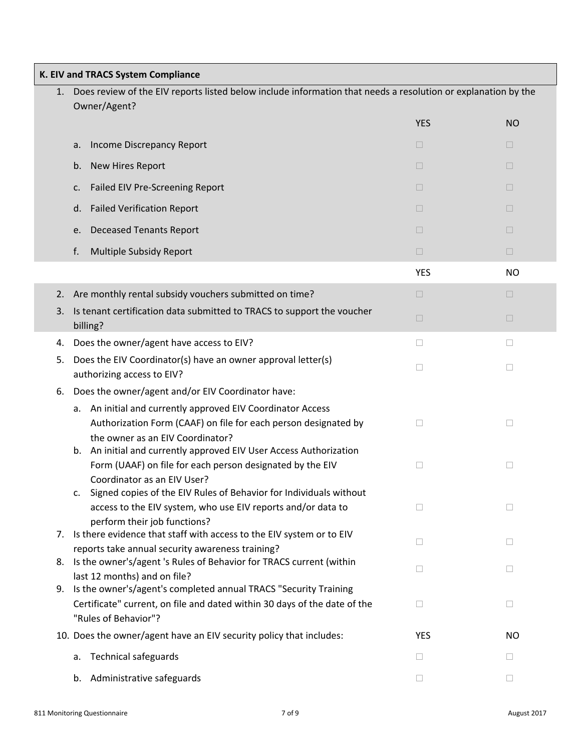|    | K. EIV and TRACS System Compliance                                                                                                                                                                                                             |                          |              |
|----|------------------------------------------------------------------------------------------------------------------------------------------------------------------------------------------------------------------------------------------------|--------------------------|--------------|
| 1. | Does review of the EIV reports listed below include information that needs a resolution or explanation by the<br>Owner/Agent?                                                                                                                  |                          |              |
|    |                                                                                                                                                                                                                                                | <b>YES</b>               | <b>NO</b>    |
|    | Income Discrepancy Report<br>a.                                                                                                                                                                                                                | $\Box$                   | $\Box$       |
|    | New Hires Report<br>b.                                                                                                                                                                                                                         | $\Box$                   | $\Box$       |
|    | Failed EIV Pre-Screening Report<br>c.                                                                                                                                                                                                          | $\Box$                   | $\Box$       |
|    | <b>Failed Verification Report</b><br>d.                                                                                                                                                                                                        | $\Box$                   | $\Box$       |
|    | <b>Deceased Tenants Report</b><br>e.                                                                                                                                                                                                           | $\Box$                   | $\Box$       |
|    | Multiple Subsidy Report<br>f.                                                                                                                                                                                                                  | $\Box$                   | $\Box$       |
|    |                                                                                                                                                                                                                                                | <b>YES</b>               | <b>NO</b>    |
| 2. | Are monthly rental subsidy vouchers submitted on time?                                                                                                                                                                                         | $\Box$                   | $\Box$       |
| 3. | Is tenant certification data submitted to TRACS to support the voucher<br>billing?                                                                                                                                                             | $\Box$                   | $\Box$       |
| 4. | Does the owner/agent have access to EIV?                                                                                                                                                                                                       | □                        | □            |
| 5. | Does the EIV Coordinator(s) have an owner approval letter(s)<br>authorizing access to EIV?                                                                                                                                                     | П                        | $\Box$       |
| 6. | Does the owner/agent and/or EIV Coordinator have:                                                                                                                                                                                              |                          |              |
|    | An initial and currently approved EIV Coordinator Access<br>а.<br>Authorization Form (CAAF) on file for each person designated by<br>the owner as an EIV Coordinator?<br>An initial and currently approved EIV User Access Authorization<br>b. | $\Box$                   | □            |
|    | Form (UAAF) on file for each person designated by the EIV<br>Coordinator as an EIV User?<br>c. Signed copies of the EIV Rules of Behavior for Individuals without                                                                              | $\Box$                   | $\Box$       |
|    | access to the EIV system, who use EIV reports and/or data to<br>perform their job functions?                                                                                                                                                   | $\overline{\phantom{a}}$ | $\mathbf{I}$ |
|    | 7. Is there evidence that staff with access to the EIV system or to EIV<br>reports take annual security awareness training?                                                                                                                    | H                        | $\mathbf{I}$ |
|    | 8. Is the owner's/agent 's Rules of Behavior for TRACS current (within<br>last 12 months) and on file?                                                                                                                                         | $\Box$                   | П            |
|    | 9. Is the owner's/agent's completed annual TRACS "Security Training<br>Certificate" current, on file and dated within 30 days of the date of the<br>"Rules of Behavior"?                                                                       | □                        | □            |
|    | 10. Does the owner/agent have an EIV security policy that includes:                                                                                                                                                                            | <b>YES</b>               | NO.          |
|    | <b>Technical safeguards</b><br>a.                                                                                                                                                                                                              | $\Box$                   | $\Box$       |
|    | Administrative safeguards<br>b.                                                                                                                                                                                                                | □                        | □            |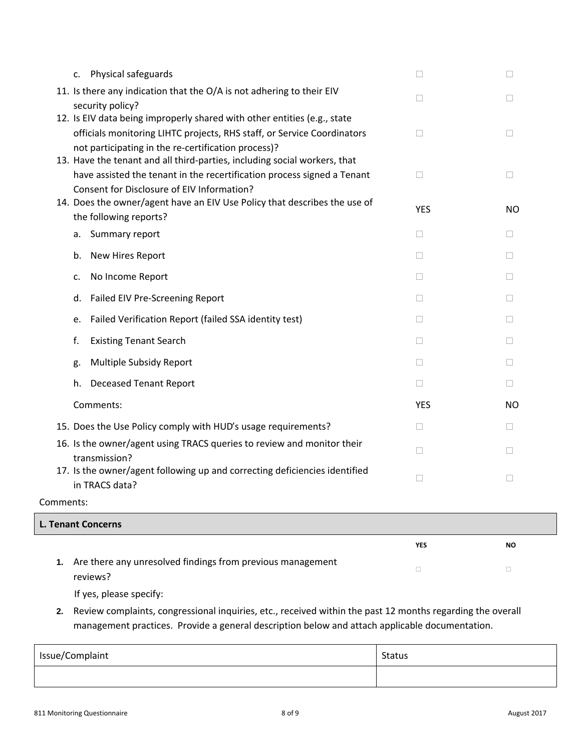| c. Physical safeguards                                                                                                                                                                                     | $\Box$     |                |
|------------------------------------------------------------------------------------------------------------------------------------------------------------------------------------------------------------|------------|----------------|
| 11. Is there any indication that the O/A is not adhering to their EIV<br>security policy?                                                                                                                  | $\Box$     | $\Box$         |
| 12. Is EIV data being improperly shared with other entities (e.g., state<br>officials monitoring LIHTC projects, RHS staff, or Service Coordinators<br>not participating in the re-certification process)? | П          | $\Box$         |
| 13. Have the tenant and all third-parties, including social workers, that<br>have assisted the tenant in the recertification process signed a Tenant<br>Consent for Disclosure of EIV Information?         | П          | $\Box$         |
| 14. Does the owner/agent have an EIV Use Policy that describes the use of<br>the following reports?                                                                                                        | <b>YES</b> | <b>NO</b>      |
| a. Summary report                                                                                                                                                                                          | $\Box$     | $\Box$         |
| New Hires Report<br>b.                                                                                                                                                                                     | П          | $\Box$         |
| No Income Report<br>c.                                                                                                                                                                                     | П          | П              |
| Failed EIV Pre-Screening Report<br>d.                                                                                                                                                                      | $\Box$     | $\Box$         |
| Failed Verification Report (failed SSA identity test)<br>e.                                                                                                                                                | $\Box$     | $\Box$         |
| <b>Existing Tenant Search</b><br>f.                                                                                                                                                                        | П          | $\mathbb{R}^n$ |
| Multiple Subsidy Report<br>g.                                                                                                                                                                              | П          | $\Box$         |
| <b>Deceased Tenant Report</b><br>h.                                                                                                                                                                        | П          | $\Box$         |
| Comments:                                                                                                                                                                                                  | <b>YES</b> | <b>NO</b>      |
| 15. Does the Use Policy comply with HUD's usage requirements?                                                                                                                                              | $\Box$     | $\Box$         |
| 16. Is the owner/agent using TRACS queries to review and monitor their<br>transmission?                                                                                                                    | П          | $\Box$         |
| 17. Is the owner/agent following up and correcting deficiencies identified<br>in TRACS data?                                                                                                               | H          | H              |

| Comments: |  |
|-----------|--|
|-----------|--|

| <b>L. Tenant Concerns</b> |                                                                           |            |           |
|---------------------------|---------------------------------------------------------------------------|------------|-----------|
|                           |                                                                           | <b>YES</b> | <b>NO</b> |
|                           | 1. Are there any unresolved findings from previous management<br>reviews? |            |           |
|                           | If yes, please specify:                                                   |            |           |

**2.** Review complaints, congressional inquiries, etc., received within the past 12 months regarding the overall management practices. Provide a general description below and attach applicable documentation.

| Issue/Complaint | <b>Status</b> |
|-----------------|---------------|
|                 |               |